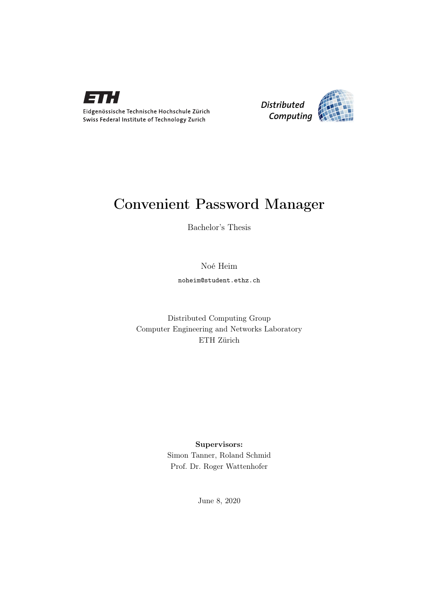

Eidgenössische Technische Hochschule Zürich Swiss Federal Institute of Technology Zurich



# Convenient Password Manager

Bachelor's Thesis

Noé Heim

noheim@student.ethz.ch

Distributed Computing Group Computer Engineering and Networks Laboratory ETH Zürich

## Supervisors:

Simon Tanner, Roland Schmid Prof. Dr. Roger Wattenhofer

June 8, 2020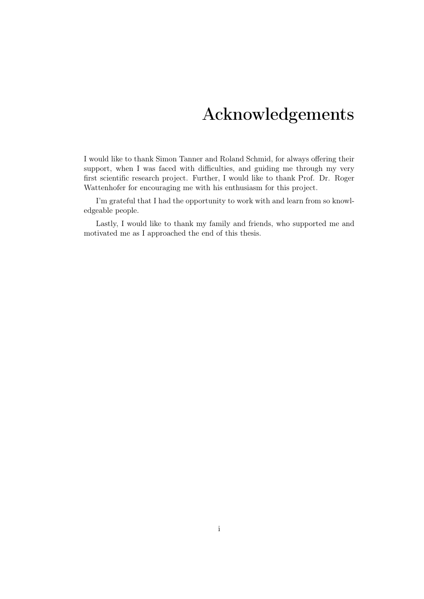# Acknowledgements

<span id="page-1-0"></span>I would like to thank Simon Tanner and Roland Schmid, for always offering their support, when I was faced with difficulties, and guiding me through my very first scientific research project. Further, I would like to thank Prof. Dr. Roger Wattenhofer for encouraging me with his enthusiasm for this project.

I'm grateful that I had the opportunity to work with and learn from so knowledgeable people.

Lastly, I would like to thank my family and friends, who supported me and motivated me as I approached the end of this thesis.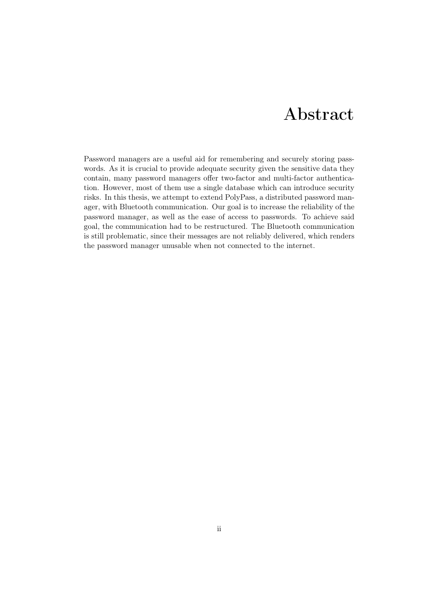# Abstract

<span id="page-2-0"></span>Password managers are a useful aid for remembering and securely storing passwords. As it is crucial to provide adequate security given the sensitive data they contain, many password managers offer two-factor and multi-factor authentication. However, most of them use a single database which can introduce security risks. In this thesis, we attempt to extend PolyPass, a distributed password manager, with Bluetooth communication. Our goal is to increase the reliability of the password manager, as well as the ease of access to passwords. To achieve said goal, the communication had to be restructured. The Bluetooth communication is still problematic, since their messages are not reliably delivered, which renders the password manager unusable when not connected to the internet.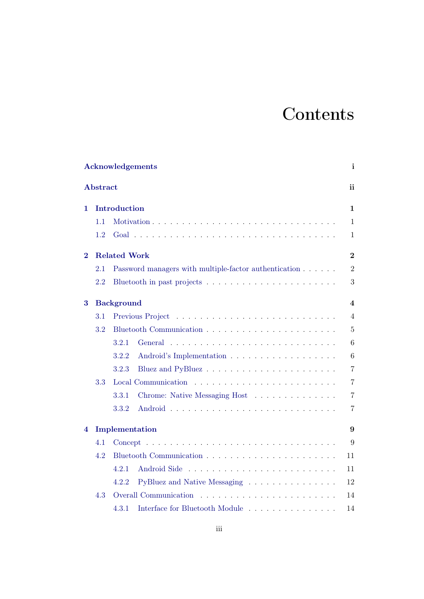# **Contents**

|          |                 | <b>Acknowledgements</b>                                                                             | $\mathbf{i}$            |
|----------|-----------------|-----------------------------------------------------------------------------------------------------|-------------------------|
|          | <b>Abstract</b> |                                                                                                     | ii                      |
| 1        |                 | Introduction                                                                                        | 1                       |
|          | 1.1             |                                                                                                     | $\mathbf{1}$            |
|          | 1.2             |                                                                                                     | $\mathbf{1}$            |
| $\bf{2}$ |                 | <b>Related Work</b>                                                                                 | $\overline{2}$          |
|          | 2.1             | Password managers with multiple-factor authentication                                               | $\overline{2}$          |
|          | 2.2             |                                                                                                     | 3                       |
| 3        |                 | <b>Background</b>                                                                                   | $\overline{\mathbf{4}}$ |
|          | 3.1             |                                                                                                     | $\overline{4}$          |
|          | 3.2             |                                                                                                     | $\overline{5}$          |
|          |                 | 3.2.1                                                                                               | 6                       |
|          |                 | 3.2.2                                                                                               | 6                       |
|          |                 | 3.2.3                                                                                               | $\overline{7}$          |
|          | 3.3             |                                                                                                     | $\overline{7}$          |
|          |                 | 3.3.1<br>Chrome: Native Messaging Host                                                              | $\overline{7}$          |
|          |                 | 3.3.2                                                                                               | $\overline{7}$          |
| 4        |                 | Implementation                                                                                      | 9                       |
|          | 4.1             | $Concept \dots \dots \dots \dots \dots \dots \dots \dots \dots \dots \dots \dots \dots \dots \dots$ | 9                       |
|          | 4.2             |                                                                                                     | 11                      |
|          |                 | 4.2.1                                                                                               | 11                      |
|          |                 | PyBluez and Native Messaging<br>4.2.2                                                               | 12                      |
|          | 4.3             | Overall Communication                                                                               | 14                      |
|          |                 | Interface for Bluetooth Module $\dots \dots \dots \dots \dots$<br>4.3.1                             | 14                      |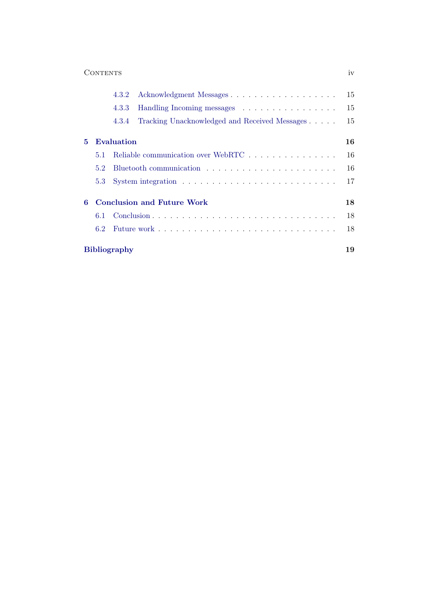|              | CONTENTS                          |                                               |  |  |
|--------------|-----------------------------------|-----------------------------------------------|--|--|
|              | 4.3.2                             |                                               |  |  |
|              | 4.3.3                             | Handling Incoming messages                    |  |  |
|              | 4.3.4                             | Tracking Unacknowledged and Received Messages |  |  |
| $\mathbf{5}$ | Evaluation                        |                                               |  |  |
| 5.1          |                                   | Reliable communication over WebRTC            |  |  |
| 52           |                                   |                                               |  |  |
|              | 5.3                               |                                               |  |  |
| 6            | <b>Conclusion and Future Work</b> |                                               |  |  |
| 6.1          |                                   |                                               |  |  |
|              | 6.2                               |                                               |  |  |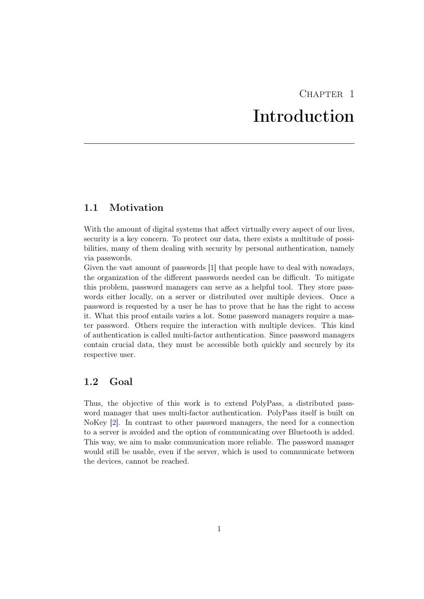# CHAPTER<sub>1</sub> Introduction

# <span id="page-5-1"></span><span id="page-5-0"></span>1.1 Motivation

With the amount of digital systems that affect virtually every aspect of our lives, security is a key concern. To protect our data, there exists a multitude of possibilities, many of them dealing with security by personal authentication, namely via passwords.

Given the vast amount of passwords [\[1\]](#page-23-1) that people have to deal with nowadays, the organization of the different passwords needed can be difficult. To mitigate this problem, password managers can serve as a helpful tool. They store passwords either locally, on a server or distributed over multiple devices. Once a password is requested by a user he has to prove that he has the right to access it. What this proof entails varies a lot. Some password managers require a master password. Others require the interaction with multiple devices. This kind of authentication is called multi-factor authentication. Since password managers contain crucial data, they must be accessible both quickly and securely by its respective user.

## <span id="page-5-2"></span>1.2 Goal

Thus, the objective of this work is to extend PolyPass, a distributed password manager that uses multi-factor authentication. PolyPass itself is built on NoKey [\[2\]](#page-23-2). In contrast to other password managers, the need for a connection to a server is avoided and the option of communicating over Bluetooth is added. This way, we aim to make communication more reliable. The password manager would still be usable, even if the server, which is used to communicate between the devices, cannot be reached.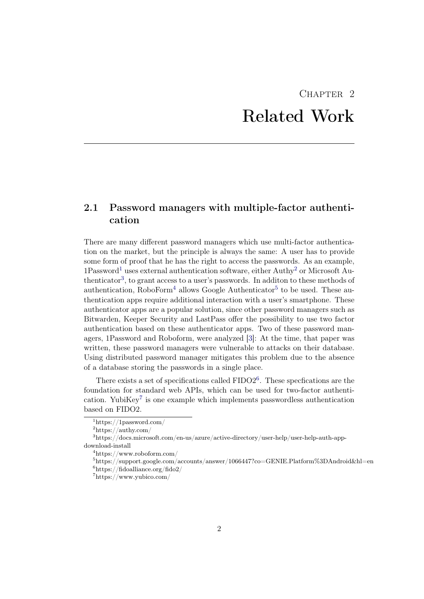# $CHAPTER$  2 Related Work

# <span id="page-6-1"></span><span id="page-6-0"></span>2.1 Password managers with multiple-factor authentication

There are many different password managers which use multi-factor authentication on the market, but the principle is always the same: A user has to provide some form of proof that he has the right to access the passwords. As an example,  $1P$  $1P$ assword<sup>1</sup> uses external authentication software, either Authy<sup>[2](#page-6-3)</sup> or Microsoft Au-thenticator<sup>[3](#page-6-4)</sup>, to grant access to a user's passwords. In additon to these methods of authentication, RoboForm<sup>[4](#page-6-5)</sup> allows Google Authenticator<sup>[5](#page-6-6)</sup> to be used. These authentication apps require additional interaction with a user's smartphone. These authenticator apps are a popular solution, since other password managers such as Bitwarden, Keeper Security and LastPass offer the possibility to use two factor authentication based on these authenticator apps. Two of these password managers, 1Password and Roboform, were analyzed [\[3\]](#page-23-3): At the time, that paper was written, these password managers were vulnerable to attacks on their database. Using distributed password manager mitigates this problem due to the absence of a database storing the passwords in a single place.

There exists a set of specifications called  $FIDO2<sup>6</sup>$  $FIDO2<sup>6</sup>$  $FIDO2<sup>6</sup>$ . These specfications are the foundation for standard web APIs, which can be used for two-factor authenti-cation. YubiKey<sup>[7](#page-6-8)</sup> is one example which implements passwordless authentication based on FIDO2.

<span id="page-6-2"></span> $1$ https://1password.com/

<span id="page-6-4"></span><span id="page-6-3"></span> $^2$  https://authy.com/  $\,$ 

<sup>3</sup>https://docs.microsoft.com/en-us/azure/active-directory/user-help/user-help-auth-appdownload-install

<span id="page-6-5"></span> $4$ https://www.roboform.com/

<span id="page-6-7"></span><span id="page-6-6"></span><sup>5</sup>https://support.google.com/accounts/answer/1066447?co=GENIE.Platform%3DAndroid&hl=en  $6$ https://fidoalliance.org/fido2/

<span id="page-6-8"></span> $7$ https://www.yubico.com/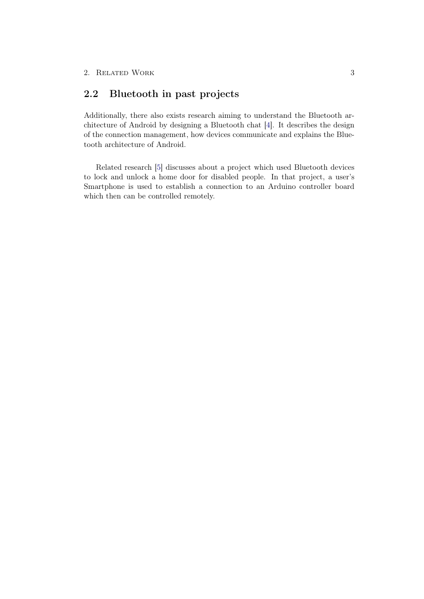# <span id="page-7-0"></span>2.2 Bluetooth in past projects

Additionally, there also exists research aiming to understand the Bluetooth architecture of Android by designing a Bluetooth chat [\[4\]](#page-23-4). It describes the design of the connection management, how devices communicate and explains the Bluetooth architecture of Android.

Related research [\[5\]](#page-23-5) discusses about a project which used Bluetooth devices to lock and unlock a home door for disabled people. In that project, a user's Smartphone is used to establish a connection to an Arduino controller board which then can be controlled remotely.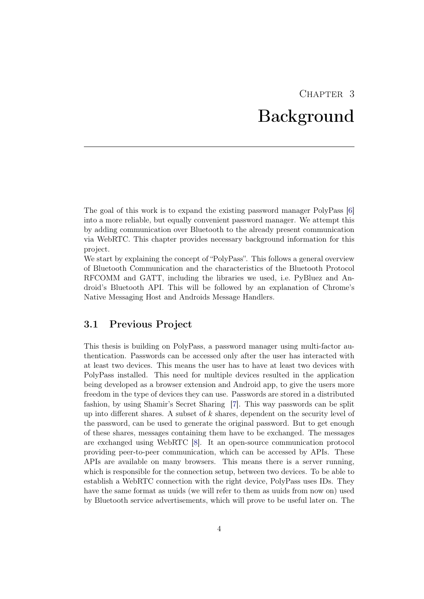# CHAPTER<sub>3</sub> Background

<span id="page-8-0"></span>The goal of this work is to expand the existing password manager PolyPass [\[6\]](#page-23-6) into a more reliable, but equally convenient password manager. We attempt this by adding communication over Bluetooth to the already present communication via WebRTC. This chapter provides necessary background information for this project.

We start by explaining the concept of "PolyPass". This follows a general overview of Bluetooth Communication and the characteristics of the Bluetooth Protocol RFCOMM and GATT, including the libraries we used, i.e. PyBluez and Android's Bluetooth API. This will be followed by an explanation of Chrome's Native Messaging Host and Androids Message Handlers.

## <span id="page-8-1"></span>3.1 Previous Project

This thesis is building on PolyPass, a password manager using multi-factor authentication. Passwords can be accessed only after the user has interacted with at least two devices. This means the user has to have at least two devices with PolyPass installed. This need for multiple devices resulted in the application being developed as a browser extension and Android app, to give the users more freedom in the type of devices they can use. Passwords are stored in a distributed fashion, by using Shamir's Secret Sharing [\[7\]](#page-23-7). This way passwords can be split up into different shares. A subset of  $k$  shares, dependent on the security level of the password, can be used to generate the original password. But to get enough of these shares, messages containing them have to be exchanged. The messages are exchanged using WebRTC [\[8\]](#page-23-8). It an open-source communication protocol providing peer-to-peer communication, which can be accessed by APIs. These APIs are available on many browsers. This means there is a server running, which is responsible for the connection setup, between two devices. To be able to establish a WebRTC connection with the right device, PolyPass uses IDs. They have the same format as uuids (we will refer to them as uuids from now on) used by Bluetooth service advertisements, which will prove to be useful later on. The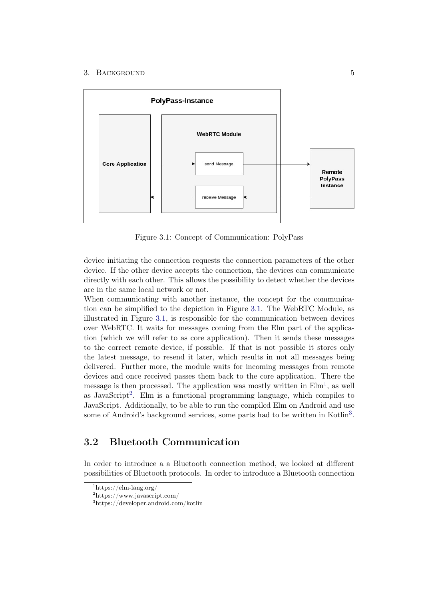#### 3. BACKGROUND 5



<span id="page-9-1"></span>Figure 3.1: Concept of Communication: PolyPass

device initiating the connection requests the connection parameters of the other device. If the other device accepts the connection, the devices can communicate directly with each other. This allows the possibility to detect whether the devices are in the same local network or not.

When communicating with another instance, the concept for the communication can be simplified to the depiction in Figure [3.1.](#page-9-1) The WebRTC Module, as illustrated in Figure [3.1,](#page-9-1) is responsible for the communication between devices over WebRTC. It waits for messages coming from the Elm part of the application (which we will refer to as core application). Then it sends these messages to the correct remote device, if possible. If that is not possible it stores only the latest message, to resend it later, which results in not all messages being delivered. Further more, the module waits for incoming messages from remote devices and once received passes them back to the core application. There the message is then processed. The application was mostly written in  $\text{Elm}^1$  $\text{Elm}^1$ , as well as JavaScript<sup>[2](#page-9-3)</sup>. Elm is a functional programming language, which compiles to JavaScript. Additionally, to be able to run the compiled Elm on Android and use some of Android's background services, some parts had to be written in Kotlin<sup>[3](#page-9-4)</sup>.

# <span id="page-9-0"></span>3.2 Bluetooth Communication

In order to introduce a a Bluetooth connection method, we looked at different possibilities of Bluetooth protocols. In order to introduce a Bluetooth connection

<span id="page-9-2"></span> $1$ https://elm-lang.org/

<span id="page-9-3"></span><sup>2</sup>https://www.javascript.com/

<span id="page-9-4"></span><sup>3</sup>https://developer.android.com/kotlin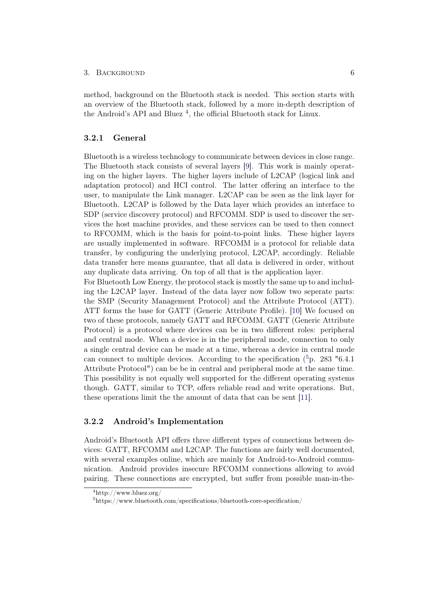#### 3. BACKGROUND 6

method, background on the Bluetooth stack is needed. This section starts with an overview of the Bluetooth stack, followed by a more in-depth description of the Android's API and Bluez<sup>[4](#page-10-2)</sup>, the official Bluetooth stack for Linux.

## <span id="page-10-0"></span>3.2.1 General

Bluetooth is a wireless technology to communicate between devices in close range. The Bluetooth stack consists of several layers [\[9\]](#page-23-9). This work is mainly operating on the higher layers. The higher layers include of L2CAP (logical link and adaptation protocol) and HCI control. The latter offering an interface to the user, to manipulate the Link manager. L2CAP can be seen as the link layer for Bluetooth. L2CAP is followed by the Data layer which provides an interface to SDP (service discovery protocol) and RFCOMM. SDP is used to discover the services the host machine provides, and these services can be used to then connect to RFCOMM, which is the basis for point-to-point links. These higher layers are usually implemented in software. RFCOMM is a protocol for reliable data transfer, by configuring the underlying protocol, L2CAP, accordingly. Reliable data transfer here means guarantee, that all data is delivered in order, without any duplicate data arriving. On top of all that is the application layer.

For Bluetooth Low Energy, the protocol stack is mostly the same up to and including the L2CAP layer. Instead of the data layer now follow two seperate parts: the SMP (Security Management Protocol) and the Attribute Protocol (ATT). ATT forms the base for GATT (Generic Attribute Profile). [\[10\]](#page-24-0) We focused on two of these protocols, namely GATT and RFCOMM. GATT (Generic Attribute Protocol) is a protocol where devices can be in two different roles: peripheral and central mode. When a device is in the peripheral mode, connection to only a single central device can be made at a time, whereas a device in central mode can connect to multiple devices. According to the specification  $(^{5}p. 283$  $(^{5}p. 283$  $(^{5}p. 283$  "6.4.1 Attribute Protocol") can be be in central and peripheral mode at the same time. This possibility is not equally well supported for the different operating systems though. GATT, similar to TCP, offers reliable read and write operations. But, these operations limit the the amount of data that can be sent [\[11\]](#page-24-1).

### <span id="page-10-1"></span>3.2.2 Android's Implementation

Android's Bluetooth API offers three different types of connections between devices: GATT, RFCOMM and L2CAP. The functions are fairly well documented, with several examples online, which are mainly for Android-to-Android communication. Android provides insecure RFCOMM connections allowing to avoid pairing. These connections are encrypted, but suffer from possible man-in-the-

<span id="page-10-2"></span> $4$ http://www.bluez.org/

<span id="page-10-3"></span><sup>5</sup>https://www.bluetooth.com/specifications/bluetooth-core-specification/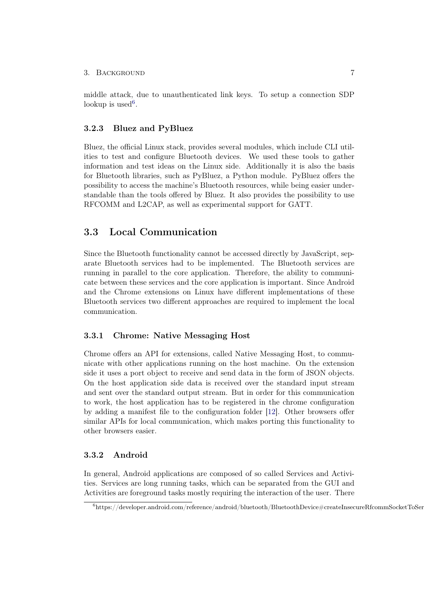middle attack, due to unauthenticated link keys. To setup a connection SDP lookup is used<sup>[6](#page-11-4)</sup>.

## <span id="page-11-0"></span>3.2.3 Bluez and PyBluez

Bluez, the official Linux stack, provides several modules, which include CLI utilities to test and configure Bluetooth devices. We used these tools to gather information and test ideas on the Linux side. Additionally it is also the basis for Bluetooth libraries, such as PyBluez, a Python module. PyBluez offers the possibility to access the machine's Bluetooth resources, while being easier understandable than the tools offered by Bluez. It also provides the possibility to use RFCOMM and L2CAP, as well as experimental support for GATT.

## <span id="page-11-1"></span>3.3 Local Communication

Since the Bluetooth functionality cannot be accessed directly by JavaScript, separate Bluetooth services had to be implemented. The Bluetooth services are running in parallel to the core application. Therefore, the ability to communicate between these services and the core application is important. Since Android and the Chrome extensions on Linux have different implementations of these Bluetooth services two different approaches are required to implement the local communication.

### <span id="page-11-2"></span>3.3.1 Chrome: Native Messaging Host

Chrome offers an API for extensions, called Native Messaging Host, to communicate with other applications running on the host machine. On the extension side it uses a port object to receive and send data in the form of JSON objects. On the host application side data is received over the standard input stream and sent over the standard output stream. But in order for this communication to work, the host application has to be registered in the chrome configuration by adding a manifest file to the configuration folder [\[12\]](#page-24-2). Other browsers offer similar APIs for local communication, which makes porting this functionality to other browsers easier.

### <span id="page-11-3"></span>3.3.2 Android

In general, Android applications are composed of so called Services and Activities. Services are long running tasks, which can be separated from the GUI and Activities are foreground tasks mostly requiring the interaction of the user. There

<span id="page-11-4"></span> $^6$ https://developer.android.com/reference/android/bluetooth/BluetoothDevice#createInsecureRfcommSocketToSer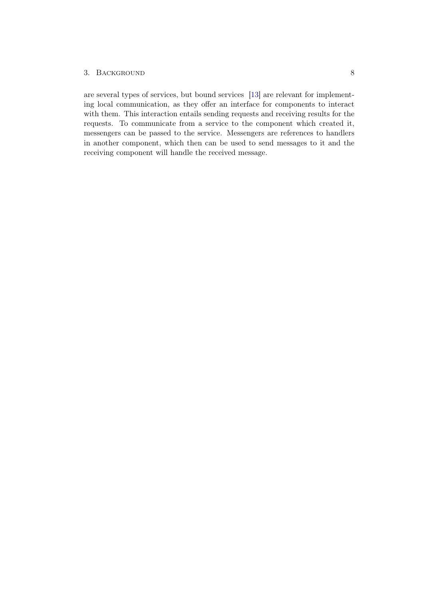### 3. BACKGROUND 8

are several types of services, but bound services [\[13\]](#page-24-3) are relevant for implementing local communication, as they offer an interface for components to interact with them. This interaction entails sending requests and receiving results for the requests. To communicate from a service to the component which created it, messengers can be passed to the service. Messengers are references to handlers in another component, which then can be used to send messages to it and the receiving component will handle the received message.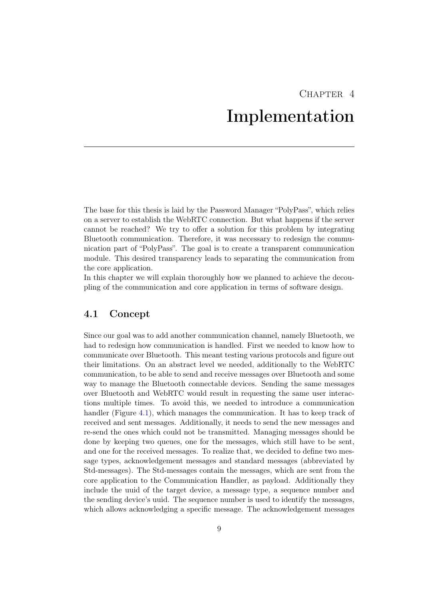# $CHAPTER$  4 Implementation

<span id="page-13-0"></span>The base for this thesis is laid by the Password Manager "PolyPass", which relies on a server to establish the WebRTC connection. But what happens if the server cannot be reached? We try to offer a solution for this problem by integrating Bluetooth communication. Therefore, it was necessary to redesign the communication part of "PolyPass". The goal is to create a transparent communication module. This desired transparency leads to separating the communication from the core application.

In this chapter we will explain thoroughly how we planned to achieve the decoupling of the communication and core application in terms of software design.

## <span id="page-13-1"></span>4.1 Concept

Since our goal was to add another communication channel, namely Bluetooth, we had to redesign how communication is handled. First we needed to know how to communicate over Bluetooth. This meant testing various protocols and figure out their limitations. On an abstract level we needed, additionally to the WebRTC communication, to be able to send and receive messages over Bluetooth and some way to manage the Bluetooth connectable devices. Sending the same messages over Bluetooth and WebRTC would result in requesting the same user interactions multiple times. To avoid this, we needed to introduce a communication handler (Figure [4.1\)](#page-14-0), which manages the communication. It has to keep track of received and sent messages. Additionally, it needs to send the new messages and re-send the ones which could not be transmitted. Managing messages should be done by keeping two queues, one for the messages, which still have to be sent, and one for the received messages. To realize that, we decided to define two message types, acknowledgement messages and standard messages (abbreviated by Std-messages). The Std-messages contain the messages, which are sent from the core application to the Communication Handler, as payload. Additionally they include the uuid of the target device, a message type, a sequence number and the sending device's uuid. The sequence number is used to identify the messages, which allows acknowledging a specific message. The acknowledgement messages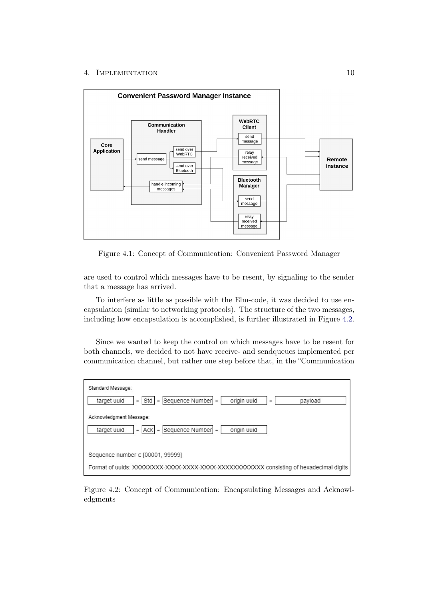#### 4. IMPLEMENTATION 10



<span id="page-14-0"></span>Figure 4.1: Concept of Communication: Convenient Password Manager

are used to control which messages have to be resent, by signaling to the sender that a message has arrived.

To interfere as little as possible with the Elm-code, it was decided to use encapsulation (similar to networking protocols). The structure of the two messages, including how encapsulation is accomplished, is further illustrated in Figure [4.2.](#page-14-1)

Since we wanted to keep the control on which messages have to be resent for both channels, we decided to not have receive- and sendqueues implemented per communication channel, but rather one step before that, in the "Communication



<span id="page-14-1"></span>Figure 4.2: Concept of Communication: Encapsulating Messages and Acknowledgments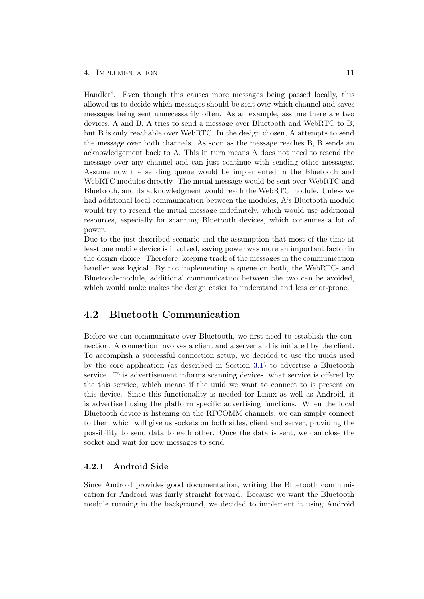#### 4. Implementation 11

Handler". Even though this causes more messages being passed locally, this allowed us to decide which messages should be sent over which channel and saves messages being sent unnecessarily often. As an example, assume there are two devices, A and B. A tries to send a message over Bluetooth and WebRTC to B, but B is only reachable over WebRTC. In the design chosen, A attempts to send the message over both channels. As soon as the message reaches B, B sends an acknowledgement back to A. This in turn means A does not need to resend the message over any channel and can just continue with sending other messages. Assume now the sending queue would be implemented in the Bluetooth and WebRTC modules directly. The initial message would be sent over WebRTC and Bluetooth, and its acknowledgment would reach the WebRTC module. Unless we had additional local communication between the modules, A's Bluetooth module would try to resend the initial message indefinitely, which would use additional resources, especially for scanning Bluetooth devices, which consumes a lot of power.

Due to the just described scenario and the assumption that most of the time at least one mobile device is involved, saving power was more an important factor in the design choice. Therefore, keeping track of the messages in the communication handler was logical. By not implementing a queue on both, the WebRTC- and Bluetooth-module, additional communication between the two can be avoided, which would make makes the design easier to understand and less error-prone.

## <span id="page-15-0"></span>4.2 Bluetooth Communication

Before we can communicate over Bluetooth, we first need to establish the connection. A connection involves a client and a server and is initiated by the client. To accomplish a successful connection setup, we decided to use the uuids used by the core application (as described in Section [3.1\)](#page-8-1) to advertise a Bluetooth service. This advertisement informs scanning devices, what service is offered by the this service, which means if the uuid we want to connect to is present on this device. Since this functionality is needed for Linux as well as Android, it is advertised using the platform specific advertising functions. When the local Bluetooth device is listening on the RFCOMM channels, we can simply connect to them which will give us sockets on both sides, client and server, providing the possibility to send data to each other. Once the data is sent, we can close the socket and wait for new messages to send.

## <span id="page-15-1"></span>4.2.1 Android Side

Since Android provides good documentation, writing the Bluetooth communication for Android was fairly straight forward. Because we want the Bluetooth module running in the background, we decided to implement it using Android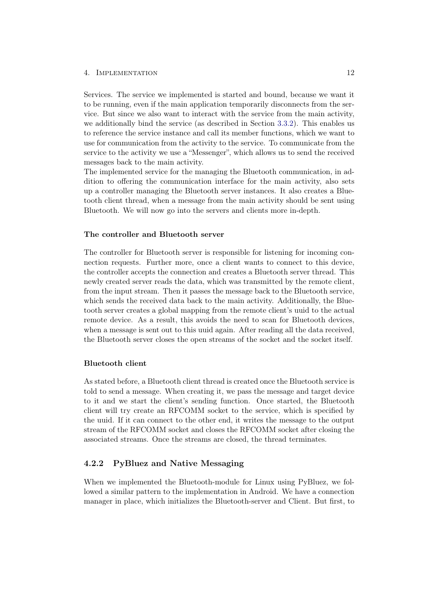#### 4. Implementation 12

Services. The service we implemented is started and bound, because we want it to be running, even if the main application temporarily disconnects from the service. But since we also want to interact with the service from the main activity, we additionally bind the service (as described in Section [3.3.2\)](#page-11-3). This enables us to reference the service instance and call its member functions, which we want to use for communication from the activity to the service. To communicate from the service to the activity we use a "Messenger", which allows us to send the received messages back to the main activity.

The implemented service for the managing the Bluetooth communication, in addition to offering the communication interface for the main activity, also sets up a controller managing the Bluetooth server instances. It also creates a Bluetooth client thread, when a message from the main activity should be sent using Bluetooth. We will now go into the servers and clients more in-depth.

### The controller and Bluetooth server

The controller for Bluetooth server is responsible for listening for incoming connection requests. Further more, once a client wants to connect to this device, the controller accepts the connection and creates a Bluetooth server thread. This newly created server reads the data, which was transmitted by the remote client, from the input stream. Then it passes the message back to the Bluetooth service, which sends the received data back to the main activity. Additionally, the Bluetooth server creates a global mapping from the remote client's uuid to the actual remote device. As a result, this avoids the need to scan for Bluetooth devices, when a message is sent out to this uuid again. After reading all the data received, the Bluetooth server closes the open streams of the socket and the socket itself.

#### Bluetooth client

As stated before, a Bluetooth client thread is created once the Bluetooth service is told to send a message. When creating it, we pass the message and target device to it and we start the client's sending function. Once started, the Bluetooth client will try create an RFCOMM socket to the service, which is specified by the uuid. If it can connect to the other end, it writes the message to the output stream of the RFCOMM socket and closes the RFCOMM socket after closing the associated streams. Once the streams are closed, the thread terminates.

## <span id="page-16-0"></span>4.2.2 PyBluez and Native Messaging

When we implemented the Bluetooth-module for Linux using PyBluez, we followed a similar pattern to the implementation in Android. We have a connection manager in place, which initializes the Bluetooth-server and Client. But first, to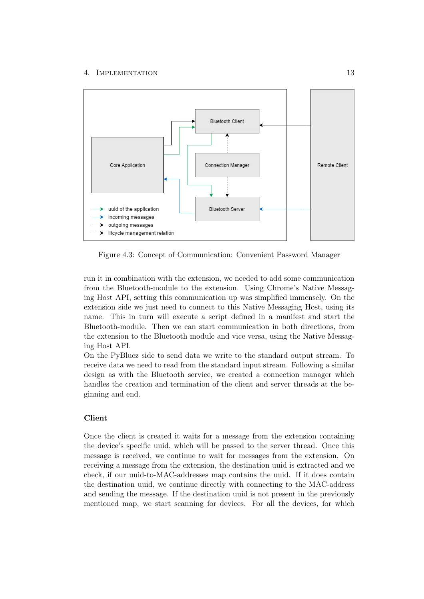### 4. IMPLEMENTATION 13



Figure 4.3: Concept of Communication: Convenient Password Manager

run it in combination with the extension, we needed to add some communication from the Bluetooth-module to the extension. Using Chrome's Native Messaging Host API, setting this communication up was simplified immensely. On the extension side we just need to connect to this Native Messaging Host, using its name. This in turn will execute a script defined in a manifest and start the Bluetooth-module. Then we can start communication in both directions, from the extension to the Bluetooth module and vice versa, using the Native Messaging Host API.

On the PyBluez side to send data we write to the standard output stream. To receive data we need to read from the standard input stream. Following a similar design as with the Bluetooth service, we created a connection manager which handles the creation and termination of the client and server threads at the beginning and end.

## Client

Once the client is created it waits for a message from the extension containing the device's specific uuid, which will be passed to the server thread. Once this message is received, we continue to wait for messages from the extension. On receiving a message from the extension, the destination uuid is extracted and we check, if our uuid-to-MAC-addresses map contains the uuid. If it does contain the destination uuid, we continue directly with connecting to the MAC-address and sending the message. If the destination uuid is not present in the previously mentioned map, we start scanning for devices. For all the devices, for which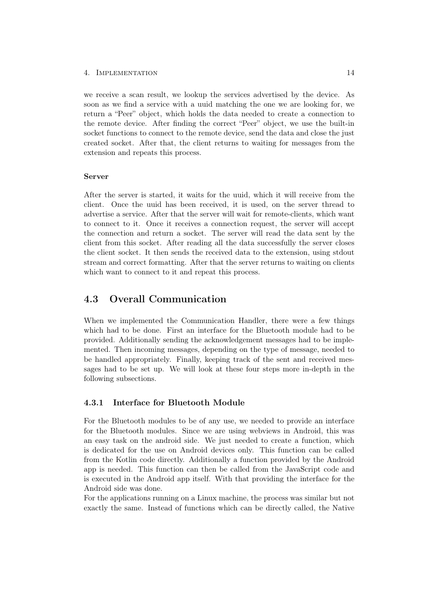#### 4. Implementation 14

we receive a scan result, we lookup the services advertised by the device. As soon as we find a service with a uuid matching the one we are looking for, we return a "Peer" object, which holds the data needed to create a connection to the remote device. After finding the correct "Peer" object, we use the built-in socket functions to connect to the remote device, send the data and close the just created socket. After that, the client returns to waiting for messages from the extension and repeats this process.

### Server

After the server is started, it waits for the uuid, which it will receive from the client. Once the uuid has been received, it is used, on the server thread to advertise a service. After that the server will wait for remote-clients, which want to connect to it. Once it receives a connection request, the server will accept the connection and return a socket. The server will read the data sent by the client from this socket. After reading all the data successfully the server closes the client socket. It then sends the received data to the extension, using stdout stream and correct formatting. After that the server returns to waiting on clients which want to connect to it and repeat this process.

## <span id="page-18-0"></span>4.3 Overall Communication

When we implemented the Communication Handler, there were a few things which had to be done. First an interface for the Bluetooth module had to be provided. Additionally sending the acknowledgement messages had to be implemented. Then incoming messages, depending on the type of message, needed to be handled appropriately. Finally, keeping track of the sent and received messages had to be set up. We will look at these four steps more in-depth in the following subsections.

## <span id="page-18-1"></span>4.3.1 Interface for Bluetooth Module

For the Bluetooth modules to be of any use, we needed to provide an interface for the Bluetooth modules. Since we are using webviews in Android, this was an easy task on the android side. We just needed to create a function, which is dedicated for the use on Android devices only. This function can be called from the Kotlin code directly. Additionally a function provided by the Android app is needed. This function can then be called from the JavaScript code and is executed in the Android app itself. With that providing the interface for the Android side was done.

For the applications running on a Linux machine, the process was similar but not exactly the same. Instead of functions which can be directly called, the Native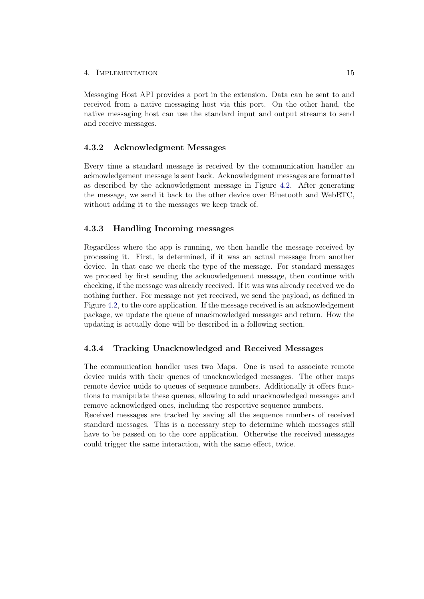#### 4. Implementation 15

Messaging Host API provides a port in the extension. Data can be sent to and received from a native messaging host via this port. On the other hand, the native messaging host can use the standard input and output streams to send and receive messages.

## <span id="page-19-0"></span>4.3.2 Acknowledgment Messages

Every time a standard message is received by the communication handler an acknowledgement message is sent back. Acknowledgment messages are formatted as described by the acknowledgment message in Figure [4.2.](#page-14-1) After generating the message, we send it back to the other device over Bluetooth and WebRTC, without adding it to the messages we keep track of.

## <span id="page-19-1"></span>4.3.3 Handling Incoming messages

Regardless where the app is running, we then handle the message received by processing it. First, is determined, if it was an actual message from another device. In that case we check the type of the message. For standard messages we proceed by first sending the acknowledgement message, then continue with checking, if the message was already received. If it was was already received we do nothing further. For message not yet received, we send the payload, as defined in Figure [4.2,](#page-14-1) to the core application. If the message received is an acknowledgement package, we update the queue of unacknowledged messages and return. How the updating is actually done will be described in a following section.

## <span id="page-19-2"></span>4.3.4 Tracking Unacknowledged and Received Messages

The communication handler uses two Maps. One is used to associate remote device uuids with their queues of unacknowledged messages. The other maps remote device uuids to queues of sequence numbers. Additionally it offers functions to manipulate these queues, allowing to add unacknowledged messages and remove acknowledged ones, including the respective sequence numbers.

Received messages are tracked by saving all the sequence numbers of received standard messages. This is a necessary step to determine which messages still have to be passed on to the core application. Otherwise the received messages could trigger the same interaction, with the same effect, twice.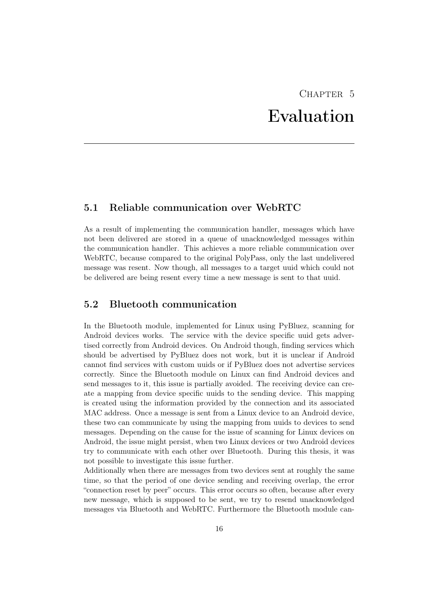# $CHAPTER$  5 Evaluation

## <span id="page-20-1"></span><span id="page-20-0"></span>5.1 Reliable communication over WebRTC

As a result of implementing the communication handler, messages which have not been delivered are stored in a queue of unacknowledged messages within the communication handler. This achieves a more reliable communication over WebRTC, because compared to the original PolyPass, only the last undelivered message was resent. Now though, all messages to a target uuid which could not be delivered are being resent every time a new message is sent to that uuid.

## <span id="page-20-2"></span>5.2 Bluetooth communication

In the Bluetooth module, implemented for Linux using PyBluez, scanning for Android devices works. The service with the device specific uuid gets advertised correctly from Android devices. On Android though, finding services which should be advertised by PyBluez does not work, but it is unclear if Android cannot find services with custom uuids or if PyBluez does not advertise services correctly. Since the Bluetooth module on Linux can find Android devices and send messages to it, this issue is partially avoided. The receiving device can create a mapping from device specific uuids to the sending device. This mapping is created using the information provided by the connection and its associated MAC address. Once a message is sent from a Linux device to an Android device, these two can communicate by using the mapping from uuids to devices to send messages. Depending on the cause for the issue of scanning for Linux devices on Android, the issue might persist, when two Linux devices or two Android devices try to communicate with each other over Bluetooth. During this thesis, it was not possible to investigate this issue further.

Additionally when there are messages from two devices sent at roughly the same time, so that the period of one device sending and receiving overlap, the error "connection reset by peer" occurs. This error occurs so often, because after every new message, which is supposed to be sent, we try to resend unacknowledged messages via Bluetooth and WebRTC. Furthermore the Bluetooth module can-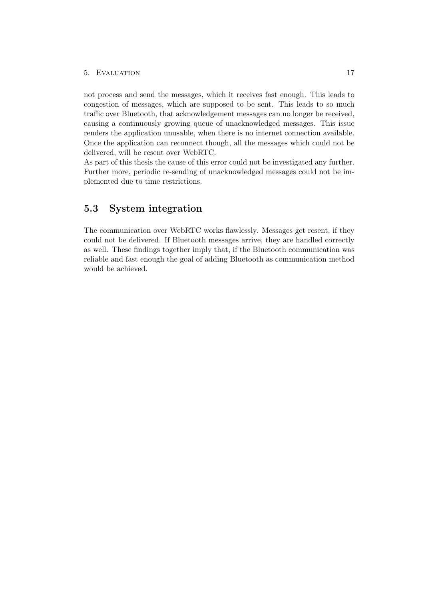#### 5. Evaluation 17

not process and send the messages, which it receives fast enough. This leads to congestion of messages, which are supposed to be sent. This leads to so much traffic over Bluetooth, that acknowledgement messages can no longer be received, causing a continuously growing queue of unacknowledged messages. This issue renders the application unusable, when there is no internet connection available. Once the application can reconnect though, all the messages which could not be delivered, will be resent over WebRTC.

As part of this thesis the cause of this error could not be investigated any further. Further more, periodic re-sending of unacknowledged messages could not be implemented due to time restrictions.

# <span id="page-21-0"></span>5.3 System integration

The communication over WebRTC works flawlessly. Messages get resent, if they could not be delivered. If Bluetooth messages arrive, they are handled correctly as well. These findings together imply that, if the Bluetooth communication was reliable and fast enough the goal of adding Bluetooth as communication method would be achieved.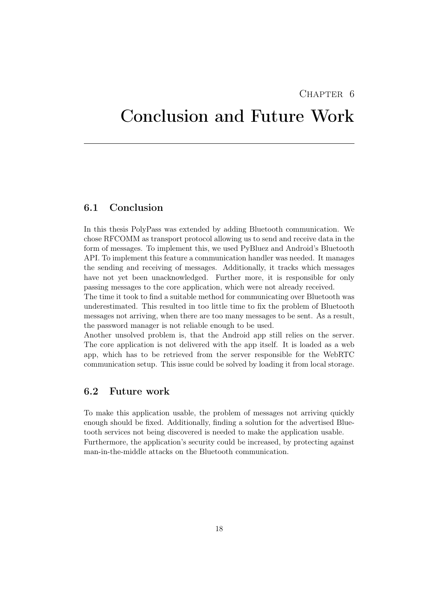## $CHAPTER$  6

# <span id="page-22-0"></span>Conclusion and Future Work

# <span id="page-22-1"></span>6.1 Conclusion

In this thesis PolyPass was extended by adding Bluetooth communication. We chose RFCOMM as transport protocol allowing us to send and receive data in the form of messages. To implement this, we used PyBluez and Android's Bluetooth API. To implement this feature a communication handler was needed. It manages the sending and receiving of messages. Additionally, it tracks which messages have not yet been unacknowledged. Further more, it is responsible for only passing messages to the core application, which were not already received.

The time it took to find a suitable method for communicating over Bluetooth was underestimated. This resulted in too little time to fix the problem of Bluetooth messages not arriving, when there are too many messages to be sent. As a result, the password manager is not reliable enough to be used.

Another unsolved problem is, that the Android app still relies on the server. The core application is not delivered with the app itself. It is loaded as a web app, which has to be retrieved from the server responsible for the WebRTC communication setup. This issue could be solved by loading it from local storage.

## <span id="page-22-2"></span>6.2 Future work

To make this application usable, the problem of messages not arriving quickly enough should be fixed. Additionally, finding a solution for the advertised Bluetooth services not being discovered is needed to make the application usable. Furthermore, the application's security could be increased, by protecting against man-in-the-middle attacks on the Bluetooth communication.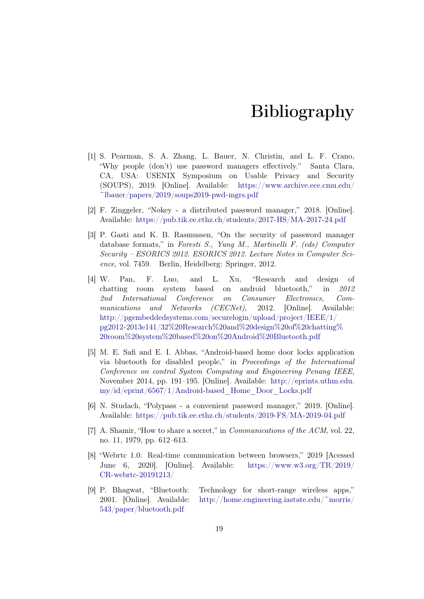# Bibliography

- <span id="page-23-1"></span><span id="page-23-0"></span>[1] S. Pearman, S. A. Zhang, L. Bauer, N. Christin, and L. F. Crano, "Why people (don't) use password managers effectively." Santa Clara, CA, USA: USENIX Symposium on Usable Privacy and Security (SOUPS), 2019. [Online]. Available: [https://www.archive.ece.cmu.edu/](https://www.archive.ece.cmu.edu/~lbauer/papers/2019/soups2019-pwd-mgrs.pdf)  $\tilde{\text{m}}$ lbauer/papers/2019/soups2019-pwd-mgrs.pdf
- <span id="page-23-2"></span>[2] F. Zinggeler, "Nokey - a distributed password manager," 2018. [Online]. Available: <https://pub.tik.ee.ethz.ch/students/2017-HS/MA-2017-24.pdf>
- <span id="page-23-3"></span>[3] P. Gasti and K. B. Rasmussen, "On the security of password manager database formats," in Foresti S., Yung M., Martinelli F. (eds) Computer Security – ESORICS 2012. ESORICS 2012. Lecture Notes in Computer Science, vol. 7459. Berlin, Heidelberg: Springer, 2012.
- <span id="page-23-4"></span>[4] W. Pan, F. Luo, and L. Xu, "Research and design of chatting room system based on android bluetooth," in 2012 2nd International Conference on Consumer Electronics, Communications and Networks (CECNet), 2012. [Online]. Available: [http://pgembeddedsystems.com/securelogin/upload/project/IEEE/1/](http://pgembeddedsystems.com/securelogin/upload/project/IEEE/1/pg2012-2013e141/32%20Research%20and%20design%20of%20chatting%20room%20system%20based%20on%20Android%20Bluetooth.pdf) [pg2012-2013e141/32%20Research%20and%20design%20of%20chatting%](http://pgembeddedsystems.com/securelogin/upload/project/IEEE/1/pg2012-2013e141/32%20Research%20and%20design%20of%20chatting%20room%20system%20based%20on%20Android%20Bluetooth.pdf) [20room%20system%20based%20on%20Android%20Bluetooth.pdf](http://pgembeddedsystems.com/securelogin/upload/project/IEEE/1/pg2012-2013e141/32%20Research%20and%20design%20of%20chatting%20room%20system%20based%20on%20Android%20Bluetooth.pdf)
- <span id="page-23-5"></span>[5] M. E. Safi and E. I. Abbas, "Android-based home door locks application via bluetooth for disabled people," in Proceedings of the International Conference on control System Computing and Engineering Penang IEEE, November 2014, pp. 191–195. [Online]. Available: [http://eprints.uthm.edu.](http://eprints.uthm.edu.my/id/eprint/6567/1/Android-based_Home_Door_Locks.pdf) [my/id/eprint/6567/1/Android-based\\_Home\\_Door\\_Locks.pdf](http://eprints.uthm.edu.my/id/eprint/6567/1/Android-based_Home_Door_Locks.pdf)
- <span id="page-23-6"></span>[6] N. Studach, "Polypass - a convenient password manager," 2019. [Online]. Available: <https://pub.tik.ee.ethz.ch/students/2019-FS/MA-2019-04.pdf>
- <span id="page-23-7"></span>[7] A. Shamir, "How to share a secret," in Communications of the ACM, vol. 22, no. 11, 1979, pp. 612–613.
- <span id="page-23-8"></span>[8] "Webrtc 1.0: Real-time communication between browsers," 2019 [Acessed June 6, 2020]. [Online]. Available: [https://www.w3.org/TR/2019/](https://www.w3.org/TR/2019/CR-webrtc-20191213/) [CR-webrtc-20191213/](https://www.w3.org/TR/2019/CR-webrtc-20191213/)
- <span id="page-23-9"></span>[9] P. Bhagwat, "Bluetooth: Technology for short-range wireless apps," 2001. [Online]. Available: [http://home.engineering.iastate.edu/~morris/](http://home.engineering.iastate.edu/~morris/543/paper/bluetooth.pdf) [543/paper/bluetooth.pdf](http://home.engineering.iastate.edu/~morris/543/paper/bluetooth.pdf)